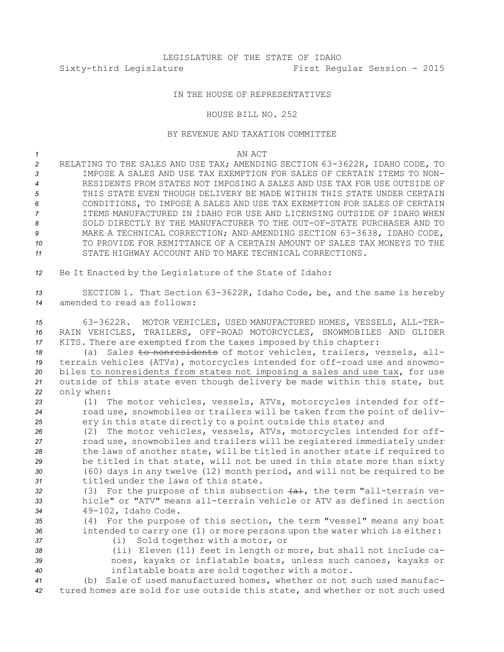## LEGISLATURE OF THE STATE OF IDAHO Sixty-third Legislature First Regular Session - 2015

## IN THE HOUSE OF REPRESENTATIVES

## HOUSE BILL NO. 252

## BY REVENUE AND TAXATION COMMITTEE

| AN ACT<br>$\sim$ $\sim$ |
|-------------------------|
|                         |

 RELATING TO THE SALES AND USE TAX; AMENDING SECTION 63-3622R, IDAHO CODE, TO IMPOSE A SALES AND USE TAX EXEMPTION FOR SALES OF CERTAIN ITEMS TO NON- RESIDENTS FROM STATES NOT IMPOSING A SALES AND USE TAX FOR USE OUTSIDE OF THIS STATE EVEN THOUGH DELIVERY BE MADE WITHIN THIS STATE UNDER CERTAIN CONDITIONS, TO IMPOSE A SALES AND USE TAX EXEMPTION FOR SALES OF CERTAIN ITEMS MANUFACTURED IN IDAHO FOR USE AND LICENSING OUTSIDE OF IDAHO WHEN SOLD DIRECTLY BY THE MANUFACTURER TO THE OUT-OF-STATE PURCHASER AND TO MAKE A TECHNICAL CORRECTION; AND AMENDING SECTION 63-3638, IDAHO CODE, TO PROVIDE FOR REMITTANCE OF A CERTAIN AMOUNT OF SALES TAX MONEYS TO THE STATE HIGHWAY ACCOUNT AND TO MAKE TECHNICAL CORRECTIONS.

*<sup>12</sup>* Be It Enacted by the Legislature of the State of Idaho:

*<sup>13</sup>* SECTION 1. That Section 63-3622R, Idaho Code, be, and the same is hereby *14* amended to read as follows:

*<sup>15</sup>* 63-3622R. MOTOR VEHICLES, USED MANUFACTURED HOMES, VESSELS, ALL-TER-*16* RAIN VEHICLES, TRAILERS, OFF-ROAD MOTORCYCLES, SNOWMOBILES AND GLIDER *<sup>17</sup>* KITS. There are exempted from the taxes imposed by this chapter:

18 (a) Sales to nonresidents of motor vehicles, trailers, vessels, all- terrain vehicles (ATVs), motorcycles intended for off-road use and snowmo- biles to nonresidents from states not imposing <sup>a</sup> sales and use tax, for use outside of this state even though delivery be made within this state, but only when:

*<sup>23</sup>* (1) The motor vehicles, vessels, ATVs, motorcycles intended for off-*<sup>24</sup>* road use, snowmobiles or trailers will be taken from the point of deliv-*<sup>25</sup>* ery in this state directly to <sup>a</sup> point outside this state; and

 (2) The motor vehicles, vessels, ATVs, motorcycles intended for off- road use, snowmobiles and trailers will be registered immediately under the laws of another state, will be titled in another state if required to be titled in that state, will not be used in this state more than sixty (60) days in any twelve (12) month period, and will not be required to be titled under the laws of this state.

32 (3) For the purpose of this subsection  $(a)$ , the term "all-terrain ve-*33* hicle" or "ATV" means all-terrain vehicle or ATV as defined in section *<sup>34</sup>* 49-102, Idaho Code.

*<sup>35</sup>* (4) For the purpose of this section, the term "vessel" means any boat *<sup>36</sup>* intended to carry one (1) or more persons upon the water which is either: *<sup>37</sup>* (i) Sold together with <sup>a</sup> motor, or

- 
- 

*<sup>38</sup>* (ii) Eleven (11) feet in length or more, but shall not include ca-

*<sup>39</sup>* noes, kayaks or inflatable boats, unless such canoes, kayaks or *<sup>40</sup>* inflatable boats are sold together with <sup>a</sup> motor.

*<sup>41</sup>* (b) Sale of used manufactured homes, whether or not such used manufac-*<sup>42</sup>* tured homes are sold for use outside this state, and whether or not such used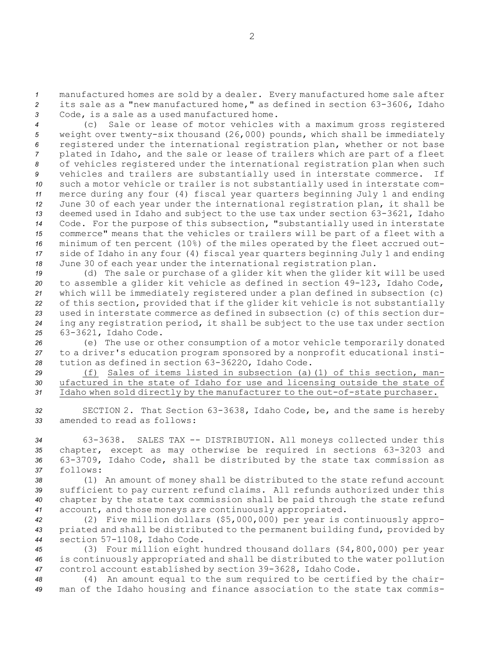*<sup>1</sup>* manufactured homes are sold by <sup>a</sup> dealer. Every manufactured home sale after *<sup>2</sup>* its sale as <sup>a</sup> "new manufactured home," as defined in section 63-3606, Idaho *<sup>3</sup>* Code, is <sup>a</sup> sale as <sup>a</sup> used manufactured home.

 (c) Sale or lease of motor vehicles with <sup>a</sup> maximum gross registered weight over twenty-six thousand (26,000) pounds, which shall be immediately registered under the international registration plan, whether or not base plated in Idaho, and the sale or lease of trailers which are part of <sup>a</sup> fleet of vehicles registered under the international registration plan when such vehicles and trailers are substantially used in interstate commerce. If such <sup>a</sup> motor vehicle or trailer is not substantially used in interstate com- merce during any four (4) fiscal year quarters beginning July 1 and ending June 30 of each year under the international registration plan, it shall be deemed used in Idaho and subject to the use tax under section 63-3621, Idaho Code. For the purpose of this subsection, "substantially used in interstate commerce" means that the vehicles or trailers will be part of <sup>a</sup> fleet with <sup>a</sup> minimum of ten percent (10%) of the miles operated by the fleet accrued out- side of Idaho in any four (4) fiscal year quarters beginning July 1 and ending June 30 of each year under the international registration plan.

 (d) The sale or purchase of <sup>a</sup> glider kit when the glider kit will be used to assemble <sup>a</sup> glider kit vehicle as defined in section 49-123, Idaho Code, which will be immediately registered under <sup>a</sup> plan defined in subsection (c) of this section, provided that if the glider kit vehicle is not substantially used in interstate commerce as defined in subsection (c) of this section dur- ing any registration period, it shall be subject to the use tax under section 63-3621, Idaho Code.

*<sup>26</sup>* (e) The use or other consumption of <sup>a</sup> motor vehicle temporarily donated *<sup>27</sup>* to <sup>a</sup> driver's education program sponsored by <sup>a</sup> nonprofit educational insti-*<sup>28</sup>* tution as defined in section 63-3622O, Idaho Code.

*<sup>29</sup>* (f) Sales of items listed in subsection (a)(1) of this section, man-*<sup>30</sup>* ufactured in the state of Idaho for use and licensing outside the state of *<sup>31</sup>* Idaho when sold directly by the manufacturer to the out-of-state purchaser.

*<sup>32</sup>* SECTION 2. That Section 63-3638, Idaho Code, be, and the same is hereby *33* amended to read as follows:

 63-3638. SALES TAX -- DISTRIBUTION. All moneys collected under this chapter, except as may otherwise be required in sections 63-3203 and 63-3709, Idaho Code, shall be distributed by the state tax commission as *37* follows:

 (1) An amount of money shall be distributed to the state refund account sufficient to pay current refund claims. All refunds authorized under this chapter by the state tax commission shall be paid through the state refund account, and those moneys are continuously appropriated.

*<sup>42</sup>* (2) Five million dollars (\$5,000,000) per year is continuously appro-*<sup>43</sup>* priated and shall be distributed to the permanent building fund, provided by *<sup>44</sup>* section 57-1108, Idaho Code.

*<sup>45</sup>* (3) Four million eight hundred thousand dollars (\$4,800,000) per year *<sup>46</sup>* is continuously appropriated and shall be distributed to the water pollution *<sup>47</sup>* control account established by section 39-3628, Idaho Code.

*<sup>48</sup>* (4) An amount equal to the sum required to be certified by the chair-*<sup>49</sup>* man of the Idaho housing and finance association to the state tax commis-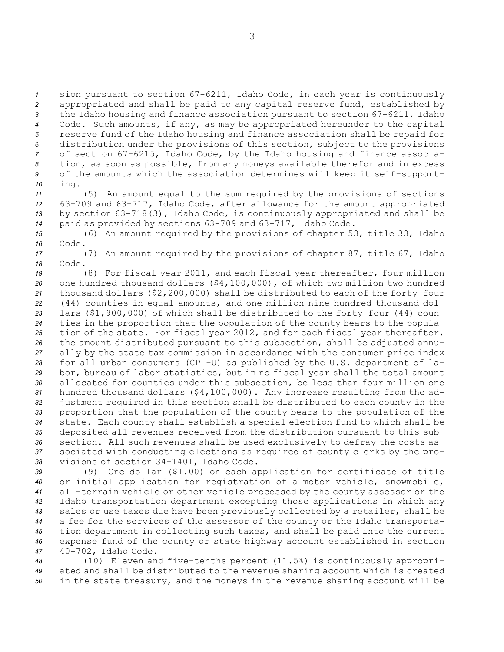sion pursuant to section 67-6211, Idaho Code, in each year is continuously appropriated and shall be paid to any capital reserve fund, established by the Idaho housing and finance association pursuant to section 67-6211, Idaho Code. Such amounts, if any, as may be appropriated hereunder to the capital reserve fund of the Idaho housing and finance association shall be repaid for distribution under the provisions of this section, subject to the provisions of section 67-6215, Idaho Code, by the Idaho housing and finance associa- tion, as soon as possible, from any moneys available therefor and in excess of the amounts which the association determines will keep it self-support-*<sup>10</sup>* ing.

 (5) An amount equal to the sum required by the provisions of sections 63-709 and 63-717, Idaho Code, after allowance for the amount appropriated by section 63-718(3), Idaho Code, is continuously appropriated and shall be paid as provided by sections 63-709 and 63-717, Idaho Code.

*<sup>15</sup>* (6) An amount required by the provisions of chapter 53, title 33, Idaho *16* Code.

*<sup>17</sup>* (7) An amount required by the provisions of chapter 87, title 67, Idaho *18* Code.

 (8) For fiscal year 2011, and each fiscal year thereafter, four million one hundred thousand dollars (\$4,100,000), of which two million two hundred thousand dollars (\$2,200,000) shall be distributed to each of the forty-four (44) counties in equal amounts, and one million nine hundred thousand dol- lars (\$1,900,000) of which shall be distributed to the forty-four (44) coun- ties in the proportion that the population of the county bears to the popula- tion of the state. For fiscal year 2012, and for each fiscal year thereafter, the amount distributed pursuant to this subsection, shall be adjusted annu- ally by the state tax commission in accordance with the consumer price index for all urban consumers (CPI-U) as published by the U.S. department of la- bor, bureau of labor statistics, but in no fiscal year shall the total amount allocated for counties under this subsection, be less than four million one hundred thousand dollars (\$4,100,000). Any increase resulting from the ad- justment required in this section shall be distributed to each county in the proportion that the population of the county bears to the population of the state. Each county shall establish <sup>a</sup> special election fund to which shall be deposited all revenues received from the distribution pursuant to this sub- section. All such revenues shall be used exclusively to defray the costs as- sociated with conducting elections as required of county clerks by the pro-visions of section 34-1401, Idaho Code.

 (9) One dollar (\$1.00) on each application for certificate of title or initial application for registration of <sup>a</sup> motor vehicle, snowmobile, all-terrain vehicle or other vehicle processed by the county assessor or the Idaho transportation department excepting those applications in which any sales or use taxes due have been previously collected by <sup>a</sup> retailer, shall be <sup>a</sup> fee for the services of the assessor of the county or the Idaho transporta- tion department in collecting such taxes, and shall be paid into the current expense fund of the county or state highway account established in section 40-702, Idaho Code.

*<sup>48</sup>* (10) Eleven and five-tenths percent (11.5%) is continuously appropri-*<sup>49</sup>* ated and shall be distributed to the revenue sharing account which is created *<sup>50</sup>* in the state treasury, and the moneys in the revenue sharing account will be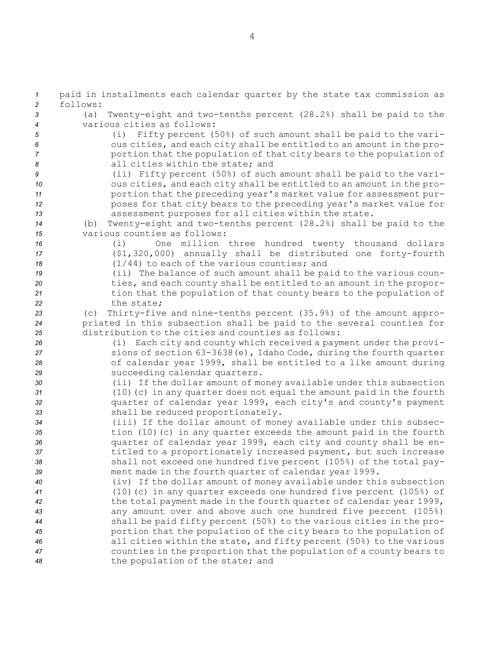paid in installments each calendar quarter by the state tax commission as *2* follows: (a) Twenty-eight and two-tenths percent (28.2%) shall be paid to the various cities as follows: (i) Fifty percent (50%) of such amount shall be paid to the vari- ous cities, and each city shall be entitled to an amount in the pro- portion that the population of that city bears to the population of all cities within the state; and (ii) Fifty percent (50%) of such amount shall be paid to the vari- ous cities, and each city shall be entitled to an amount in the pro- portion that the preceding year's market value for assessment pur- poses for that city bears to the preceding year's market value for assessment purposes for all cities within the state. (b) Twenty-eight and two-tenths percent (28.2%) shall be paid to the various counties as follows: (i) One million three hundred twenty thousand dollars (\$1,320,000) annually shall be distributed one forty-fourth (1/44) to each of the various counties; and (ii) The balance of such amount shall be paid to the various coun- ties, and each county shall be entitled to an amount in the propor- tion that the population of that county bears to the population of the state; (c) Thirty-five and nine-tenths percent (35.9%) of the amount appro- priated in this subsection shall be paid to the several counties for distribution to the cities and counties as follows: (i) Each city and county which received <sup>a</sup> payment under the provi- sions of section 63-3638(e), Idaho Code, during the fourth quarter of calendar year 1999, shall be entitled to <sup>a</sup> like amount during succeeding calendar quarters. (ii) If the dollar amount of money available under this subsection (10)(c) in any quarter does not equal the amount paid in the fourth quarter of calendar year 1999, each city's and county's payment shall be reduced proportionately. (iii) If the dollar amount of money available under this subsec- tion (10)(c) in any quarter exceeds the amount paid in the fourth quarter of calendar year 1999, each city and county shall be en- titled to <sup>a</sup> proportionately increased payment, but such increase shall not exceed one hundred five percent (105%) of the total pay- ment made in the fourth quarter of calendar year 1999. (iv) If the dollar amount of money available under this subsection (10)(c) in any quarter exceeds one hundred five percent (105%) of the total payment made in the fourth quarter of calendar year 1999, any amount over and above such one hundred five percent (105%) shall be paid fifty percent (50%) to the various cities in the pro- portion that the population of the city bears to the population of all cities within the state, and fifty percent (50%) to the various counties in the proportion that the population of <sup>a</sup> county bears to the population of the state; and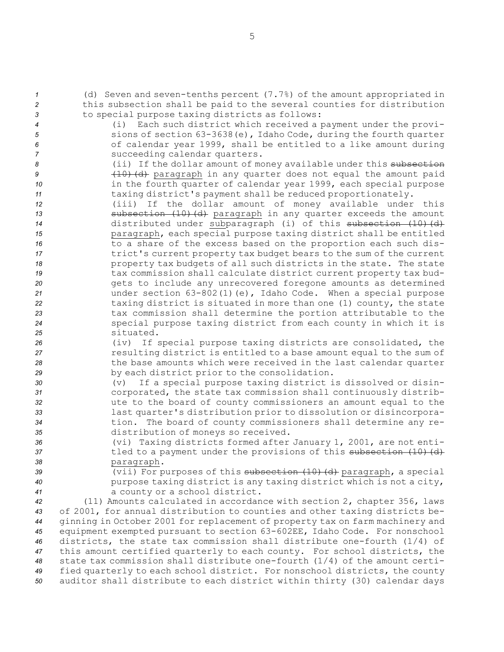- *<sup>1</sup>* (d) Seven and seven-tenths percent (7.7%) of the amount appropriated in *<sup>2</sup>* this subsection shall be paid to the several counties for distribution *<sup>3</sup>* to special purpose taxing districts as follows: *<sup>4</sup>* (i) Each such district which received <sup>a</sup> payment under the provi-
- 
- 
- *<sup>5</sup>* sions of section 63-3638(e), Idaho Code, during the fourth quarter *<sup>6</sup>* of calendar year 1999, shall be entitled to <sup>a</sup> like amount during *<sup>7</sup>* succeeding calendar quarters.

8 (ii) If the dollar amount of money available under this subsection 9 (10)(d) paragraph in any quarter does not equal the amount paid *<sup>10</sup>* in the fourth quarter of calendar year 1999, each special purpose *<sup>11</sup>* taxing district's payment shall be reduced proportionately.

 (iii) If the dollar amount of money available under this **subsection** (10)(d) paragraph in any quarter exceeds the amount 14 distributed under subparagraph (i) of this subsection (10) (d) paragraph, each special purpose taxing district shall be entitled to <sup>a</sup> share of the excess based on the proportion each such dis-**trict's current property tax budget bears to the sum of the current**  property tax budgets of all such districts in the state. The state tax commission shall calculate district current property tax bud- gets to include any unrecovered foregone amounts as determined under section 63-802(1)(e), Idaho Code. When <sup>a</sup> special purpose taxing district is situated in more than one (1) county, the state tax commission shall determine the portion attributable to the special purpose taxing district from each county in which it is situated.

- *<sup>26</sup>* (iv) If special purpose taxing districts are consolidated, the *<sup>27</sup>* resulting district is entitled to <sup>a</sup> base amount equal to the sum of *<sup>28</sup>* the base amounts which were received in the last calendar quarter *<sup>29</sup>* by each district prior to the consolidation.
- *<sup>30</sup>* (v) If <sup>a</sup> special purpose taxing district is dissolved or disin-*<sup>31</sup>* corporated, the state tax commission shall continuously distrib-*<sup>32</sup>* ute to the board of county commissioners an amount equal to the *<sup>33</sup>* last quarter's distribution prior to dissolution or disincorpora-*<sup>34</sup>* tion. The board of county commissioners shall determine any re-*<sup>35</sup>* distribution of moneys so received.
- *<sup>36</sup>* (vi) Taxing districts formed after January 1, 2001, are not enti-37 tled to a payment under the provisions of this subsection (10) (d) *<sup>38</sup>* paragraph.
- *<sup>39</sup>* (vii) For purposes of this subsection (10)(d) paragraph, <sup>a</sup> special *<sup>40</sup>* purpose taxing district is any taxing district which is not <sup>a</sup> city, *<sup>41</sup>* <sup>a</sup> county or <sup>a</sup> school district.

 (11) Amounts calculated in accordance with section 2, chapter 356, laws of 2001, for annual distribution to counties and other taxing districts be- ginning in October 2001 for replacement of property tax on farm machinery and equipment exempted pursuant to section 63-602EE, Idaho Code. For nonschool districts, the state tax commission shall distribute one-fourth (1/4) of this amount certified quarterly to each county. For school districts, the state tax commission shall distribute one-fourth (1/4) of the amount certi- fied quarterly to each school district. For nonschool districts, the county auditor shall distribute to each district within thirty (30) calendar days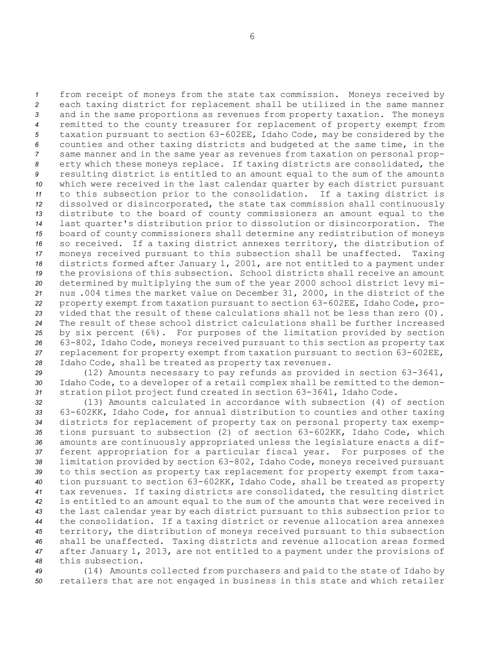from receipt of moneys from the state tax commission. Moneys received by each taxing district for replacement shall be utilized in the same manner and in the same proportions as revenues from property taxation. The moneys remitted to the county treasurer for replacement of property exempt from taxation pursuant to section 63-602EE, Idaho Code, may be considered by the counties and other taxing districts and budgeted at the same time, in the same manner and in the same year as revenues from taxation on personal prop- erty which these moneys replace. If taxing districts are consolidated, the resulting district is entitled to an amount equal to the sum of the amounts which were received in the last calendar quarter by each district pursuant to this subsection prior to the consolidation. If <sup>a</sup> taxing district is dissolved or disincorporated, the state tax commission shall continuously distribute to the board of county commissioners an amount equal to the last quarter's distribution prior to dissolution or disincorporation. The board of county commissioners shall determine any redistribution of moneys so received. If <sup>a</sup> taxing district annexes territory, the distribution of moneys received pursuant to this subsection shall be unaffected. Taxing districts formed after January 1, 2001, are not entitled to <sup>a</sup> payment under the provisions of this subsection. School districts shall receive an amount determined by multiplying the sum of the year 2000 school district levy mi- nus .004 times the market value on December 31, 2000, in the district of the property exempt from taxation pursuant to section 63-602EE, Idaho Code, pro- vided that the result of these calculations shall not be less than zero (0). The result of these school district calculations shall be further increased by six percent (6%). For purposes of the limitation provided by section 63-802, Idaho Code, moneys received pursuant to this section as property tax replacement for property exempt from taxation pursuant to section 63-602EE, Idaho Code, shall be treated as property tax revenues.

*<sup>29</sup>* (12) Amounts necessary to pay refunds as provided in section 63-3641, *<sup>30</sup>* Idaho Code, to <sup>a</sup> developer of <sup>a</sup> retail complex shall be remitted to the demon-*<sup>31</sup>* stration pilot project fund created in section 63-3641, Idaho Code.

 (13) Amounts calculated in accordance with subsection (4) of section 63-602KK, Idaho Code, for annual distribution to counties and other taxing districts for replacement of property tax on personal property tax exemp- tions pursuant to subsection (2) of section 63-602KK, Idaho Code, which amounts are continuously appropriated unless the legislature enacts <sup>a</sup> dif- ferent appropriation for <sup>a</sup> particular fiscal year. For purposes of the limitation provided by section 63-802, Idaho Code, moneys received pursuant to this section as property tax replacement for property exempt from taxa- tion pursuant to section 63-602KK, Idaho Code, shall be treated as property tax revenues. If taxing districts are consolidated, the resulting district is entitled to an amount equal to the sum of the amounts that were received in the last calendar year by each district pursuant to this subsection prior to the consolidation. If <sup>a</sup> taxing district or revenue allocation area annexes territory, the distribution of moneys received pursuant to this subsection shall be unaffected. Taxing districts and revenue allocation areas formed after January 1, 2013, are not entitled to <sup>a</sup> payment under the provisions of this subsection.

*<sup>49</sup>* (14) Amounts collected from purchasers and paid to the state of Idaho by *<sup>50</sup>* retailers that are not engaged in business in this state and which retailer